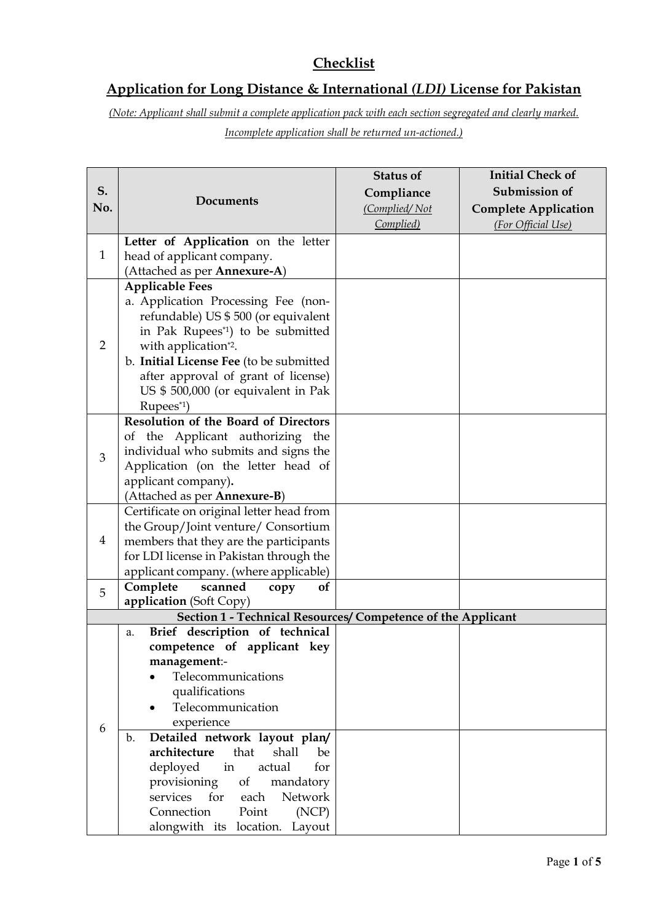# **Checklist**

# **Application for Long Distance & International** *(LDI)* **License for Pakistan**

*(Note: Applicant shall submit a complete application pack with each section segregated and clearly marked. Incomplete application shall be returned un-actioned.)*

|                |                                                              | <b>Status of</b> | <b>Initial Check of</b>     |
|----------------|--------------------------------------------------------------|------------------|-----------------------------|
| S.<br>No.      |                                                              | Compliance       | Submission of               |
|                | <b>Documents</b>                                             | (Complied/Not    | <b>Complete Application</b> |
|                |                                                              | Complied)        | (For Official Use)          |
|                | Letter of Application on the letter                          |                  |                             |
| $\mathbf{1}$   | head of applicant company.                                   |                  |                             |
|                | (Attached as per Annexure-A)                                 |                  |                             |
|                | <b>Applicable Fees</b>                                       |                  |                             |
|                | a. Application Processing Fee (non-                          |                  |                             |
|                | refundable) US \$500 (or equivalent                          |                  |                             |
|                | in Pak Rupees <sup>*1</sup> ) to be submitted                |                  |                             |
| $\overline{2}$ | with application*2.                                          |                  |                             |
|                | b. Initial License Fee (to be submitted                      |                  |                             |
|                | after approval of grant of license)                          |                  |                             |
|                | US \$ 500,000 (or equivalent in Pak                          |                  |                             |
|                | Rupees*1)                                                    |                  |                             |
|                | <b>Resolution of the Board of Directors</b>                  |                  |                             |
|                | of the Applicant authorizing the                             |                  |                             |
| $\mathfrak{B}$ | individual who submits and signs the                         |                  |                             |
|                | Application (on the letter head of                           |                  |                             |
|                | applicant company).                                          |                  |                             |
|                | (Attached as per Annexure-B)                                 |                  |                             |
|                | Certificate on original letter head from                     |                  |                             |
|                | the Group/Joint venture/ Consortium                          |                  |                             |
| 4              | members that they are the participants                       |                  |                             |
|                | for LDI license in Pakistan through the                      |                  |                             |
|                | applicant company. (where applicable)                        |                  |                             |
| 5              | Complete<br>scanned<br>of<br>copy                            |                  |                             |
|                | application (Soft Copy)                                      |                  |                             |
|                | Section 1 - Technical Resources/ Competence of the Applicant |                  |                             |
|                | Brief description of technical<br>a.                         |                  |                             |
|                | competence of applicant key                                  |                  |                             |
|                | management:-                                                 |                  |                             |
|                | Telecommunications                                           |                  |                             |
| 6              | qualifications                                               |                  |                             |
|                | Telecommunication                                            |                  |                             |
|                | experience                                                   |                  |                             |
|                | Detailed network layout plan/<br>$\mathbf b$ .               |                  |                             |
|                | architecture<br>that<br>shall<br>be                          |                  |                             |
|                | deployed<br>in<br>actual<br>for                              |                  |                             |
|                | provisioning<br>of<br>mandatory                              |                  |                             |
|                | services<br>for<br>Network<br>each                           |                  |                             |
|                | Connection<br>Point<br>(NCP)                                 |                  |                             |
|                | alongwith its location. Layout                               |                  |                             |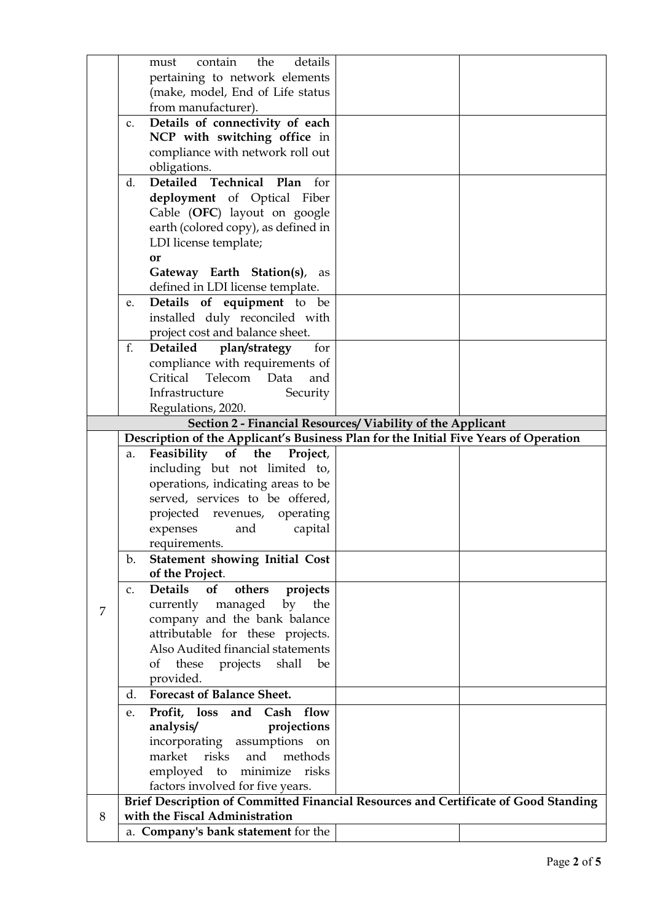|   | details<br>contain<br>the<br>must                                                   |                                                                                      |  |  |  |  |  |  |
|---|-------------------------------------------------------------------------------------|--------------------------------------------------------------------------------------|--|--|--|--|--|--|
|   | pertaining to network elements                                                      |                                                                                      |  |  |  |  |  |  |
|   | (make, model, End of Life status                                                    |                                                                                      |  |  |  |  |  |  |
|   | from manufacturer).                                                                 |                                                                                      |  |  |  |  |  |  |
|   | Details of connectivity of each<br>c.                                               |                                                                                      |  |  |  |  |  |  |
|   | NCP with switching office in                                                        |                                                                                      |  |  |  |  |  |  |
|   | compliance with network roll out                                                    |                                                                                      |  |  |  |  |  |  |
|   | obligations.                                                                        |                                                                                      |  |  |  |  |  |  |
|   | Detailed Technical Plan<br>d.<br>for                                                |                                                                                      |  |  |  |  |  |  |
|   | deployment of Optical Fiber                                                         |                                                                                      |  |  |  |  |  |  |
|   | Cable (OFC) layout on google                                                        |                                                                                      |  |  |  |  |  |  |
|   | earth (colored copy), as defined in                                                 |                                                                                      |  |  |  |  |  |  |
|   | LDI license template;                                                               |                                                                                      |  |  |  |  |  |  |
|   | <b>or</b>                                                                           |                                                                                      |  |  |  |  |  |  |
|   | Gateway Earth Station(s), as                                                        |                                                                                      |  |  |  |  |  |  |
|   | defined in LDI license template.                                                    |                                                                                      |  |  |  |  |  |  |
|   | Details of equipment to be<br>e.                                                    |                                                                                      |  |  |  |  |  |  |
|   | installed duly reconciled with                                                      |                                                                                      |  |  |  |  |  |  |
|   | project cost and balance sheet.                                                     |                                                                                      |  |  |  |  |  |  |
|   | f.<br>for<br>Detailed<br>plan/strategy                                              |                                                                                      |  |  |  |  |  |  |
|   | compliance with requirements of                                                     |                                                                                      |  |  |  |  |  |  |
|   | Critical Telecom<br>Data<br>and                                                     |                                                                                      |  |  |  |  |  |  |
|   | Infrastructure<br>Security                                                          |                                                                                      |  |  |  |  |  |  |
|   | Regulations, 2020.                                                                  |                                                                                      |  |  |  |  |  |  |
|   |                                                                                     | Section 2 - Financial Resources/ Viability of the Applicant                          |  |  |  |  |  |  |
|   |                                                                                     | Description of the Applicant's Business Plan for the Initial Five Years of Operation |  |  |  |  |  |  |
|   | Feasibility of the<br>Project,<br>a.                                                |                                                                                      |  |  |  |  |  |  |
|   | including but not limited to,                                                       |                                                                                      |  |  |  |  |  |  |
|   | operations, indicating areas to be                                                  |                                                                                      |  |  |  |  |  |  |
|   | served, services to be offered,                                                     |                                                                                      |  |  |  |  |  |  |
|   | projected revenues, operating                                                       |                                                                                      |  |  |  |  |  |  |
|   | expenses<br>and<br>capital                                                          |                                                                                      |  |  |  |  |  |  |
|   | requirements.                                                                       |                                                                                      |  |  |  |  |  |  |
|   | <b>Statement showing Initial Cost</b><br>b.                                         |                                                                                      |  |  |  |  |  |  |
|   | of the Project.                                                                     |                                                                                      |  |  |  |  |  |  |
|   | Details<br>of<br>projects<br>others<br>C <sub>1</sub>                               |                                                                                      |  |  |  |  |  |  |
|   | currently managed<br>by<br>the                                                      |                                                                                      |  |  |  |  |  |  |
| 7 | company and the bank balance                                                        |                                                                                      |  |  |  |  |  |  |
|   | attributable for these projects.                                                    |                                                                                      |  |  |  |  |  |  |
|   | Also Audited financial statements                                                   |                                                                                      |  |  |  |  |  |  |
|   | of these projects shall<br>be                                                       |                                                                                      |  |  |  |  |  |  |
|   | provided.                                                                           |                                                                                      |  |  |  |  |  |  |
|   | <b>Forecast of Balance Sheet.</b><br>d.                                             |                                                                                      |  |  |  |  |  |  |
|   | Profit, loss and<br>Cash<br>flow<br>e.                                              |                                                                                      |  |  |  |  |  |  |
|   | projections<br>analysis/                                                            |                                                                                      |  |  |  |  |  |  |
|   | incorporating assumptions on                                                        |                                                                                      |  |  |  |  |  |  |
|   | methods<br>market<br>risks<br>and                                                   |                                                                                      |  |  |  |  |  |  |
|   | to<br>minimize<br>employed<br>risks                                                 |                                                                                      |  |  |  |  |  |  |
|   | factors involved for five years.                                                    |                                                                                      |  |  |  |  |  |  |
|   | Brief Description of Committed Financial Resources and Certificate of Good Standing |                                                                                      |  |  |  |  |  |  |
|   |                                                                                     |                                                                                      |  |  |  |  |  |  |
| 8 | with the Fiscal Administration                                                      |                                                                                      |  |  |  |  |  |  |
|   | a. Company's bank statement for the                                                 |                                                                                      |  |  |  |  |  |  |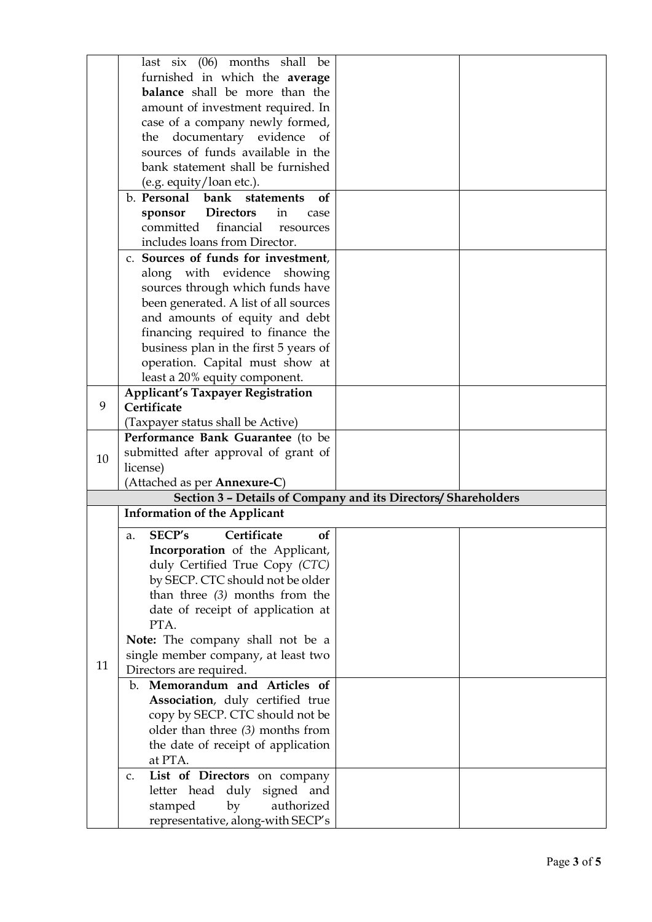| Section 3 - Details of Company and its Directors/ Shareholders |
|----------------------------------------------------------------|
|                                                                |
|                                                                |
|                                                                |
|                                                                |
|                                                                |
|                                                                |
|                                                                |
|                                                                |
|                                                                |
|                                                                |
|                                                                |
|                                                                |
|                                                                |
|                                                                |
|                                                                |
|                                                                |
|                                                                |
|                                                                |
|                                                                |
|                                                                |
|                                                                |
|                                                                |
|                                                                |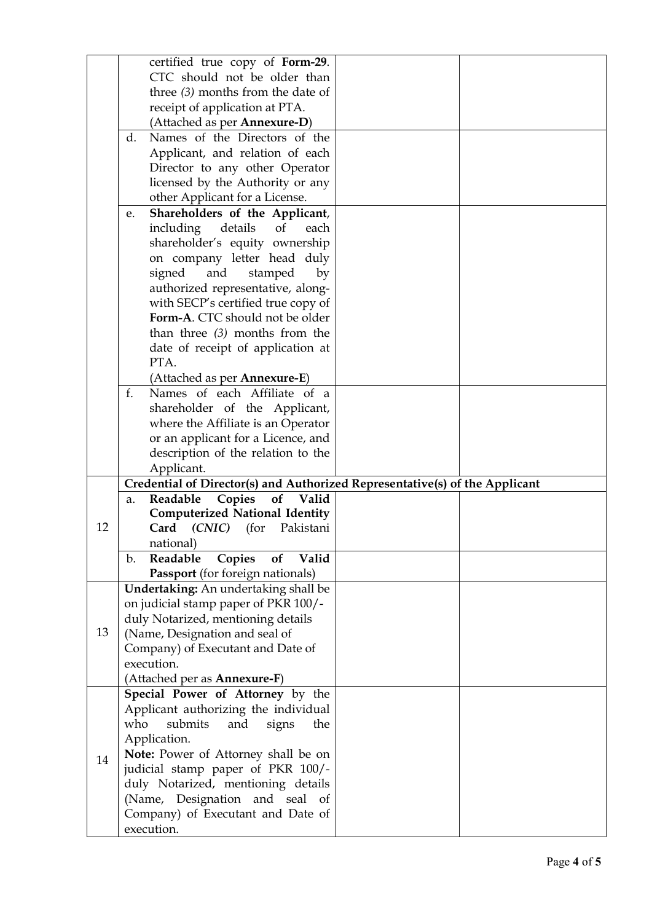| certified true copy of Form-29.<br>CTC should not be older than<br>three $(3)$ months from the date of<br>receipt of application at PTA.<br>(Attached as per <b>Annexure-D</b> )<br>Names of the Directors of the<br>d. |  |
|-------------------------------------------------------------------------------------------------------------------------------------------------------------------------------------------------------------------------|--|
|                                                                                                                                                                                                                         |  |
|                                                                                                                                                                                                                         |  |
|                                                                                                                                                                                                                         |  |
|                                                                                                                                                                                                                         |  |
|                                                                                                                                                                                                                         |  |
| Applicant, and relation of each                                                                                                                                                                                         |  |
| Director to any other Operator                                                                                                                                                                                          |  |
| licensed by the Authority or any                                                                                                                                                                                        |  |
| other Applicant for a License.                                                                                                                                                                                          |  |
| Shareholders of the Applicant,<br>e.                                                                                                                                                                                    |  |
| including details<br>of<br>each                                                                                                                                                                                         |  |
| shareholder's equity ownership                                                                                                                                                                                          |  |
| on company letter head duly                                                                                                                                                                                             |  |
| and<br>signed<br>stamped<br>by                                                                                                                                                                                          |  |
| authorized representative, along-                                                                                                                                                                                       |  |
| with SECP's certified true copy of                                                                                                                                                                                      |  |
| Form-A. CTC should not be older                                                                                                                                                                                         |  |
| than three $(3)$ months from the                                                                                                                                                                                        |  |
| date of receipt of application at                                                                                                                                                                                       |  |
| PTA.                                                                                                                                                                                                                    |  |
| (Attached as per <b>Annexure-E</b> )                                                                                                                                                                                    |  |
| f.<br>Names of each Affiliate of a                                                                                                                                                                                      |  |
| shareholder of the Applicant,                                                                                                                                                                                           |  |
| where the Affiliate is an Operator                                                                                                                                                                                      |  |
| or an applicant for a Licence, and                                                                                                                                                                                      |  |
| description of the relation to the                                                                                                                                                                                      |  |
| Applicant.                                                                                                                                                                                                              |  |
| Credential of Director(s) and Authorized Representative(s) of the Applicant                                                                                                                                             |  |
| of<br>Readable<br>Copies<br>Valid<br>a.                                                                                                                                                                                 |  |
| <b>Computerized National Identity</b>                                                                                                                                                                                   |  |
| 12<br>Card (CNIC)<br>Pakistani<br>(for                                                                                                                                                                                  |  |
| national)                                                                                                                                                                                                               |  |
| Copies<br>Readable<br>of<br>Valid<br>b.                                                                                                                                                                                 |  |
| Passport (for foreign nationals)                                                                                                                                                                                        |  |
| Undertaking: An undertaking shall be                                                                                                                                                                                    |  |
| on judicial stamp paper of PKR 100/-                                                                                                                                                                                    |  |
| duly Notarized, mentioning details                                                                                                                                                                                      |  |
| 13<br>(Name, Designation and seal of                                                                                                                                                                                    |  |
| Company) of Executant and Date of                                                                                                                                                                                       |  |
| execution.                                                                                                                                                                                                              |  |
| (Attached per as <b>Annexure-F)</b>                                                                                                                                                                                     |  |
| Special Power of Attorney by the                                                                                                                                                                                        |  |
| Applicant authorizing the individual                                                                                                                                                                                    |  |
| submits<br>who<br>and<br>signs<br>the                                                                                                                                                                                   |  |
| Application.                                                                                                                                                                                                            |  |
| Note: Power of Attorney shall be on                                                                                                                                                                                     |  |
| 14<br>judicial stamp paper of PKR 100/-                                                                                                                                                                                 |  |
| duly Notarized, mentioning details                                                                                                                                                                                      |  |
| (Name, Designation and seal of                                                                                                                                                                                          |  |
| Company) of Executant and Date of                                                                                                                                                                                       |  |
| execution.                                                                                                                                                                                                              |  |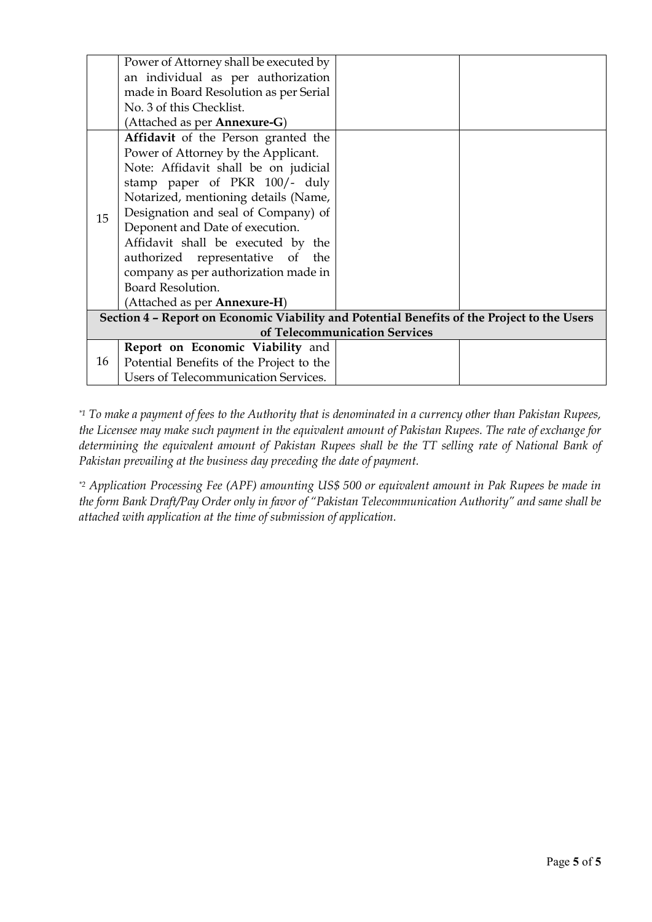|    | Power of Attorney shall be executed by                                                      |                               |  |  |  |  |
|----|---------------------------------------------------------------------------------------------|-------------------------------|--|--|--|--|
|    | an individual as per authorization                                                          |                               |  |  |  |  |
|    | made in Board Resolution as per Serial                                                      |                               |  |  |  |  |
|    | No. 3 of this Checklist.                                                                    |                               |  |  |  |  |
|    | (Attached as per <b>Annexure-G</b> )                                                        |                               |  |  |  |  |
|    | Affidavit of the Person granted the                                                         |                               |  |  |  |  |
|    | Power of Attorney by the Applicant.                                                         |                               |  |  |  |  |
|    | Note: Affidavit shall be on judicial                                                        |                               |  |  |  |  |
|    | stamp paper of PKR 100/- duly                                                               |                               |  |  |  |  |
|    | Notarized, mentioning details (Name,                                                        |                               |  |  |  |  |
| 15 | Designation and seal of Company) of                                                         |                               |  |  |  |  |
|    | Deponent and Date of execution.                                                             |                               |  |  |  |  |
|    | Affidavit shall be executed by the                                                          |                               |  |  |  |  |
|    | authorized representative of the                                                            |                               |  |  |  |  |
|    | company as per authorization made in                                                        |                               |  |  |  |  |
|    | Board Resolution.                                                                           |                               |  |  |  |  |
|    | (Attached as per Annexure-H)                                                                |                               |  |  |  |  |
|    | Section 4 - Report on Economic Viability and Potential Benefits of the Project to the Users |                               |  |  |  |  |
|    |                                                                                             | of Telecommunication Services |  |  |  |  |
|    | Report on Economic Viability and                                                            |                               |  |  |  |  |
| 16 | Potential Benefits of the Project to the                                                    |                               |  |  |  |  |
|    | <b>Users of Telecommunication Services.</b>                                                 |                               |  |  |  |  |

*\*1 To make a payment of fees to the Authority that is denominated in a currency other than Pakistan Rupees, the Licensee may make such payment in the equivalent amount of Pakistan Rupees. The rate of exchange for determining the equivalent amount of Pakistan Rupees shall be the TT selling rate of National Bank of Pakistan prevailing at the business day preceding the date of payment.*

*\*2 Application Processing Fee (APF) amounting US\$ 500 or equivalent amount in Pak Rupees be made in the form Bank Draft/Pay Order only in favor of "Pakistan Telecommunication Authority" and same shall be attached with application at the time of submission of application.*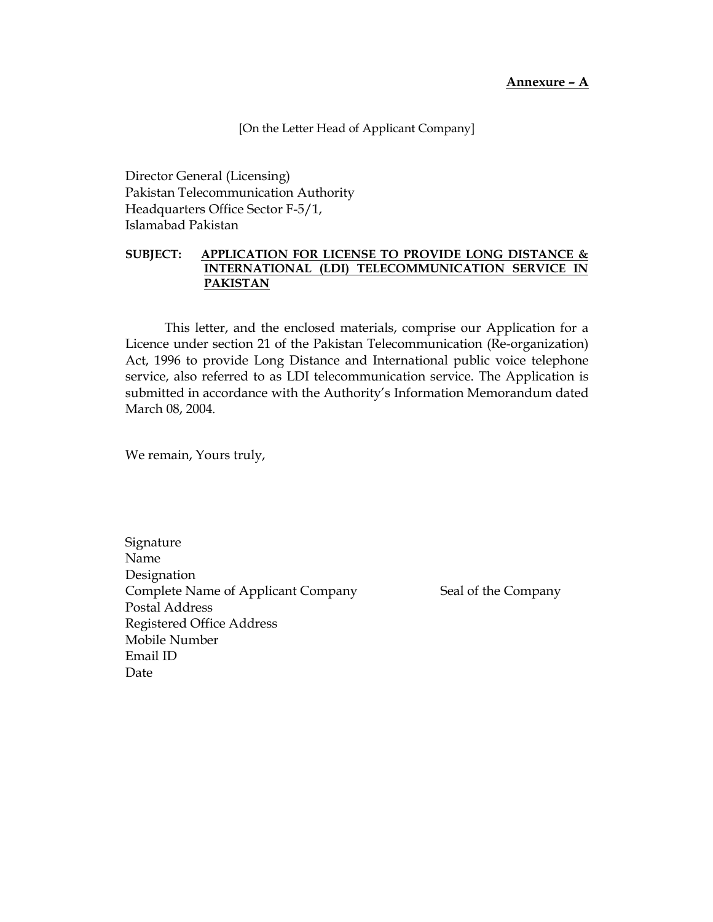**Annexure – A** 

[On the Letter Head of Applicant Company]

Director General (Licensing) Pakistan Telecommunication Authority Headquarters Office Sector F-5/1, Islamabad Pakistan

### **SUBJECT: APPLICATION FOR LICENSE TO PROVIDE LONG DISTANCE & INTERNATIONAL (LDI) TELECOMMUNICATION SERVICE IN PAKISTAN**

This letter, and the enclosed materials, comprise our Application for a Licence under section 21 of the Pakistan Telecommunication (Re-organization) Act, 1996 to provide Long Distance and International public voice telephone service, also referred to as LDI telecommunication service. The Application is submitted in accordance with the Authority's Information Memorandum dated March 08, 2004.

We remain, Yours truly,

Signature Name Designation Complete Name of Applicant Company Seal of the Company Postal Address Registered Office Address Mobile Number Email ID Date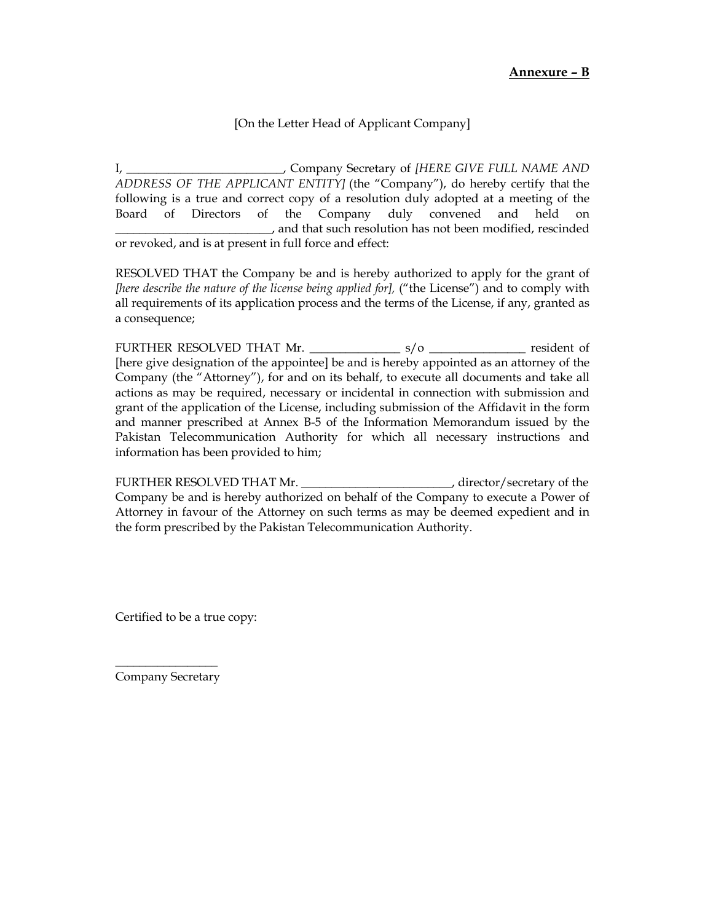## [On the Letter Head of Applicant Company]

I, \_\_\_\_\_\_\_\_\_\_\_\_\_\_\_\_\_\_\_\_\_\_\_\_\_\_, Company Secretary of *[HERE GIVE FULL NAME AND ADDRESS OF THE APPLICANT ENTITY]* (the "Company"), do hereby certify that the following is a true and correct copy of a resolution duly adopted at a meeting of the Board of Directors of the Company duly convened and held on \_\_\_\_\_\_\_\_\_\_\_\_\_\_\_\_\_\_\_\_\_\_\_\_\_\_, and that such resolution has not been modified, rescinded or revoked, and is at present in full force and effect:

RESOLVED THAT the Company be and is hereby authorized to apply for the grant of *[here describe the nature of the license being applied for],* ("the License") and to comply with all requirements of its application process and the terms of the License, if any, granted as a consequence;

FURTHER RESOLVED THAT Mr. \_\_\_\_\_\_\_\_\_\_\_\_\_\_\_ s/o \_\_\_\_\_\_\_\_\_\_\_\_\_\_\_\_ resident of [here give designation of the appointee] be and is hereby appointed as an attorney of the Company (the "Attorney"), for and on its behalf, to execute all documents and take all actions as may be required, necessary or incidental in connection with submission and grant of the application of the License, including submission of the Affidavit in the form and manner prescribed at Annex B-5 of the Information Memorandum issued by the Pakistan Telecommunication Authority for which all necessary instructions and information has been provided to him;

FURTHER RESOLVED THAT Mr. \_\_\_\_\_\_\_\_\_\_\_\_\_\_\_\_\_\_\_\_\_\_\_\_\_, director/secretary of the Company be and is hereby authorized on behalf of the Company to execute a Power of Attorney in favour of the Attorney on such terms as may be deemed expedient and in the form prescribed by the Pakistan Telecommunication Authority.

Certified to be a true copy:

 $\frac{1}{2}$  , where  $\frac{1}{2}$ Company Secretary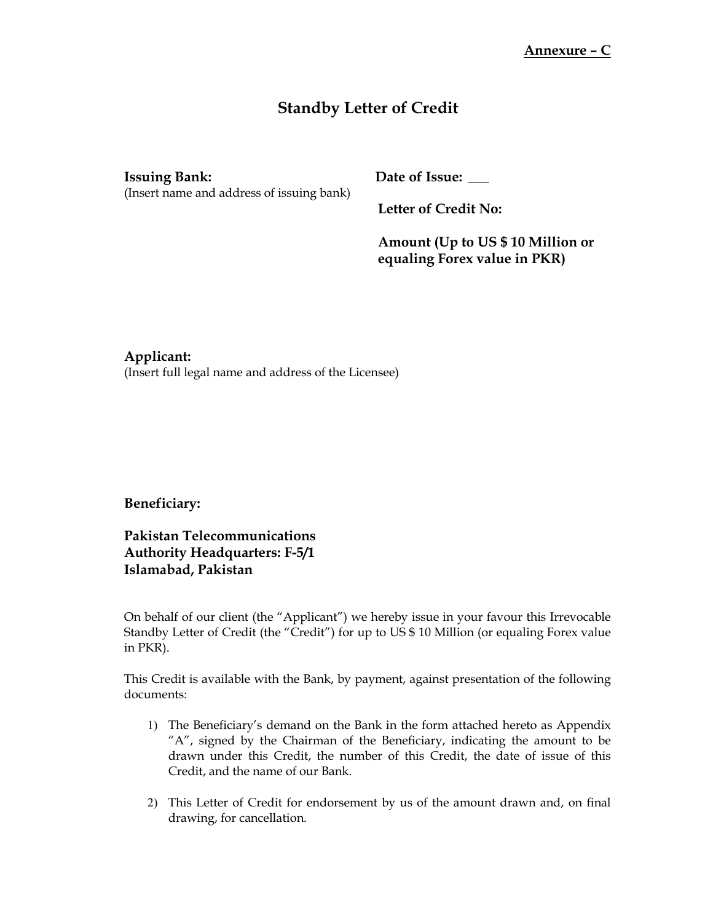# **Standby Letter of Credit**

(Insert name and address of issuing bank)

**Issuing Bank: Date of Issue: \_\_\_**

**Letter of Credit No:**

**Amount (Up to US \$ 10 Million or equaling Forex value in PKR)**

## **Applicant:**

(Insert full legal name and address of the Licensee)

## **Beneficiary:**

**Pakistan Telecommunications Authority Headquarters: F-5/1 Islamabad, Pakistan**

On behalf of our client (the "Applicant") we hereby issue in your favour this Irrevocable Standby Letter of Credit (the "Credit") for up to US \$ 10 Million (or equaling Forex value in PKR).

This Credit is available with the Bank, by payment, against presentation of the following documents:

- 1) The Beneficiary's demand on the Bank in the form attached hereto as Appendix "A", signed by the Chairman of the Beneficiary, indicating the amount to be drawn under this Credit, the number of this Credit, the date of issue of this Credit, and the name of our Bank.
- 2) This Letter of Credit for endorsement by us of the amount drawn and, on final drawing, for cancellation.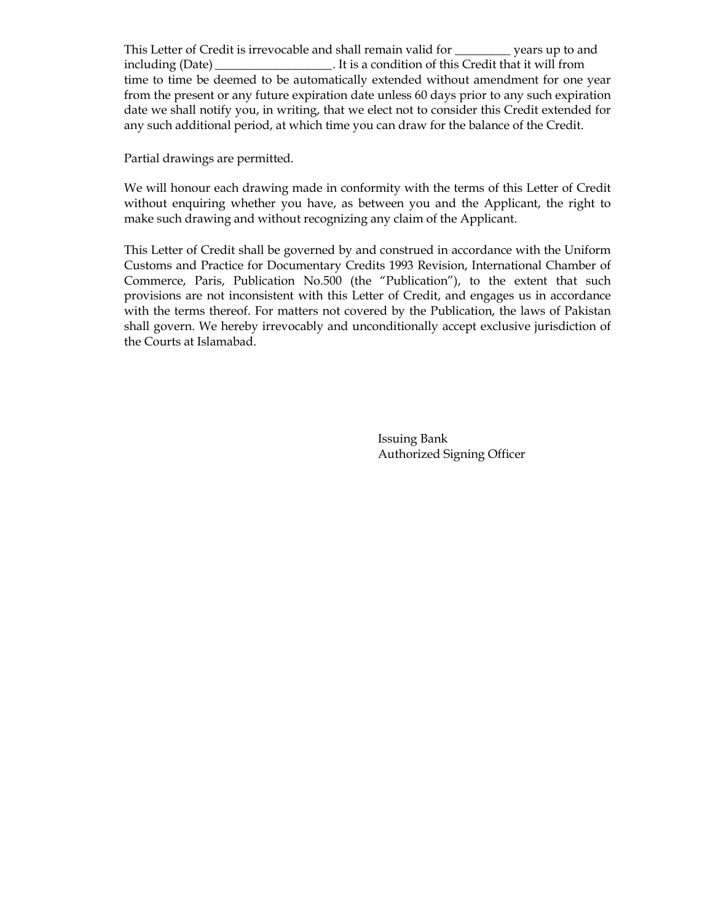This Letter of Credit is irrevocable and shall remain valid for \_\_\_\_\_\_\_\_\_ years up to and including (Date) \_\_\_\_\_\_\_\_\_\_\_\_\_\_\_\_\_\_\_. It is a condition of this Credit that it will from time to time be deemed to be automatically extended without amendment for one year from the present or any future expiration date unless 60 days prior to any such expiration date we shall notify you, in writing, that we elect not to consider this Credit extended for any such additional period, at which time you can draw for the balance of the Credit.

Partial drawings are permitted.

We will honour each drawing made in conformity with the terms of this Letter of Credit without enquiring whether you have, as between you and the Applicant, the right to make such drawing and without recognizing any claim of the Applicant.

This Letter of Credit shall be governed by and construed in accordance with the Uniform Customs and Practice for Documentary Credits 1993 Revision, International Chamber of Commerce, Paris, Publication No.500 (the "Publication"), to the extent that such provisions are not inconsistent with this Letter of Credit, and engages us in accordance with the terms thereof. For matters not covered by the Publication, the laws of Pakistan shall govern. We hereby irrevocably and unconditionally accept exclusive jurisdiction of the Courts at Islamabad.

> Issuing Bank Authorized Signing Officer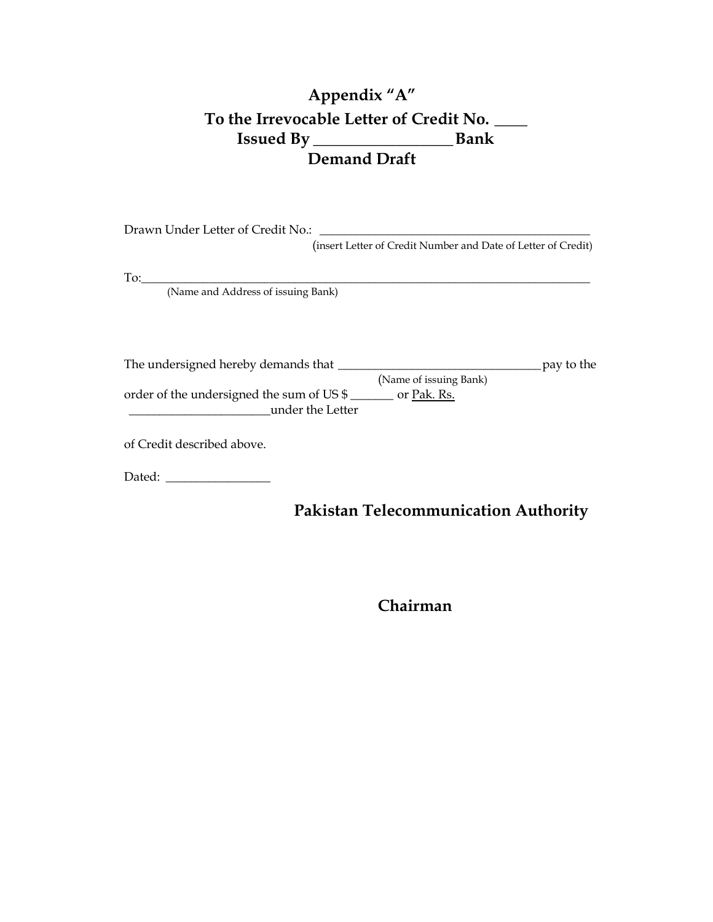# **Appendix "A" To the Irrevocable Letter of Credit No. \_\_\_\_ Issued By \_\_\_\_\_\_\_\_\_\_\_\_\_\_\_\_\_Bank Demand Draft**

Drawn Under Letter of Credit No.: \_\_\_\_\_\_\_\_\_\_\_\_\_\_\_\_\_\_\_\_\_\_\_\_\_\_\_\_\_\_\_\_\_\_\_\_\_\_\_\_\_\_\_\_

(insert Letter of Credit Number and Date of Letter of Credit)

 $\rm{To:}\_$ 

(Name and Address of issuing Bank)

The undersigned hereby demands that \_\_\_\_\_\_\_\_\_\_\_\_\_\_\_\_\_\_\_\_\_\_\_\_\_\_\_\_\_\_\_\_\_pay to the (Name of issuing Bank) order of the undersigned the sum of US \$ \_\_\_\_\_\_\_ or Pak. Rs. \_\_\_\_\_\_\_\_\_\_\_\_\_\_\_\_\_\_\_\_\_\_\_under the Letter

of Credit described above.

Dated: \_\_\_\_\_\_\_\_\_\_\_\_\_\_\_\_\_

# **Pakistan Telecommunication Authority**

**Chairman**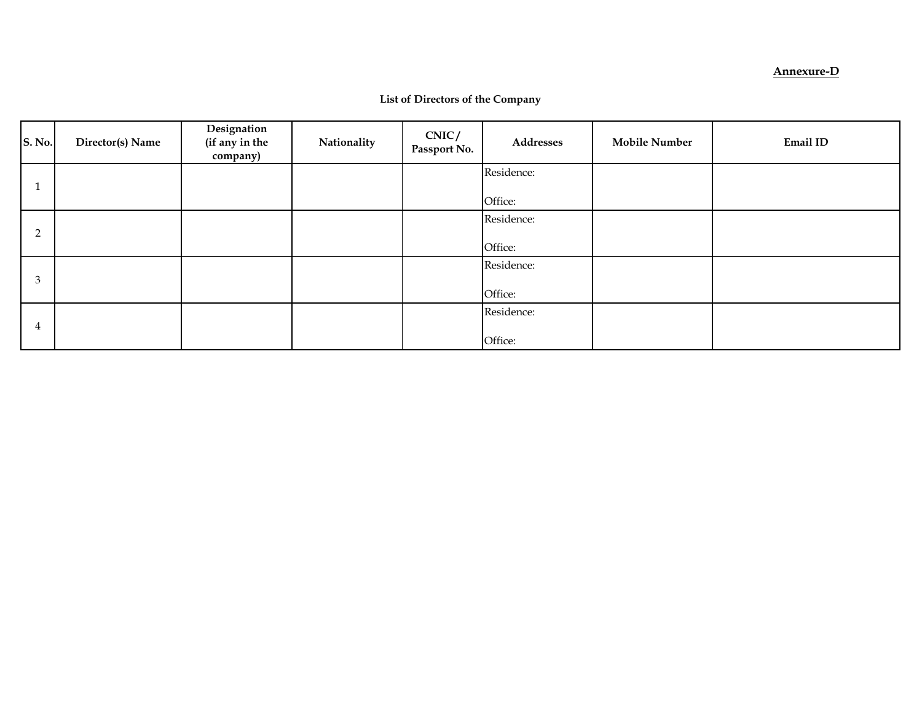#### **Annexure-D**

| <b>S. No.</b>  | Director(s) Name | Designation<br>(if any in the<br>company) | Nationality | CNIC/<br>Passport No. | Addresses             | <b>Mobile Number</b> | Email ID |
|----------------|------------------|-------------------------------------------|-------------|-----------------------|-----------------------|----------------------|----------|
|                |                  |                                           |             |                       | Residence:<br>Office: |                      |          |
| $\overline{2}$ |                  |                                           |             |                       | Residence:<br>Office: |                      |          |
| 3              |                  |                                           |             |                       | Residence:<br>Office: |                      |          |
| 4              |                  |                                           |             |                       | Residence:<br>Office: |                      |          |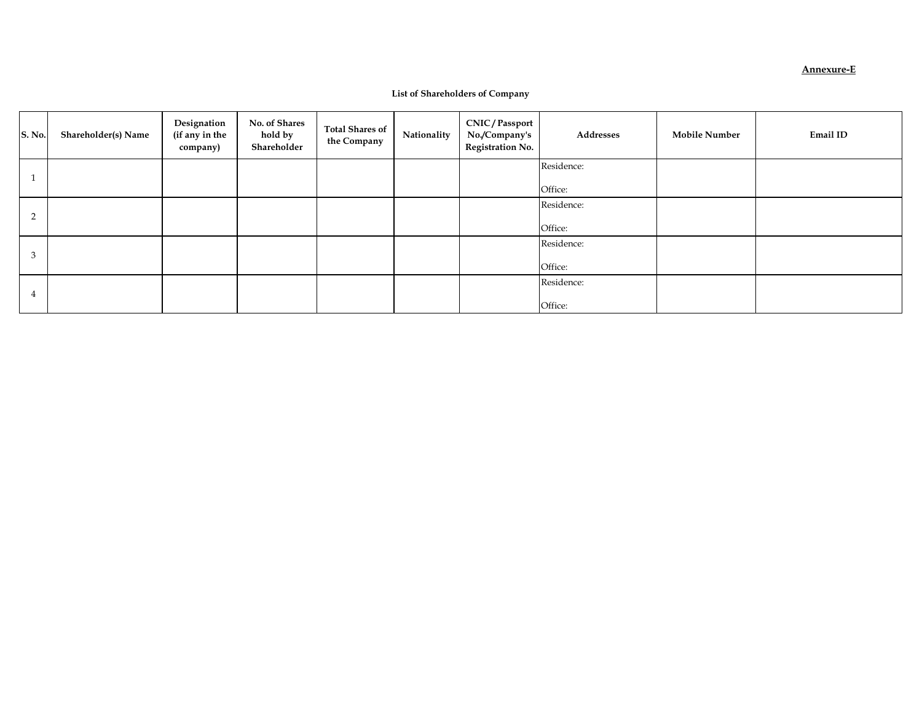#### **Annexure-E**

#### **List of Shareholders of Company**

| <b>S. No.</b>  | Shareholder(s) Name | Designation<br>(if any in the<br>company) | No. of Shares<br>hold by<br>Shareholder | Total Shares of<br>the Company | Nationality | <b>CNIC/Passport</b><br>No./Company's<br><b>Registration No.</b> | Addresses             | <b>Mobile Number</b> | Email ID |
|----------------|---------------------|-------------------------------------------|-----------------------------------------|--------------------------------|-------------|------------------------------------------------------------------|-----------------------|----------------------|----------|
|                |                     |                                           |                                         |                                |             |                                                                  | Residence:<br>Office: |                      |          |
| $\overline{2}$ |                     |                                           |                                         |                                |             |                                                                  | Residence:<br>Office: |                      |          |
| 3              |                     |                                           |                                         |                                |             |                                                                  | Residence:<br>Office: |                      |          |
|                |                     |                                           |                                         |                                |             |                                                                  | Residence:<br>Office: |                      |          |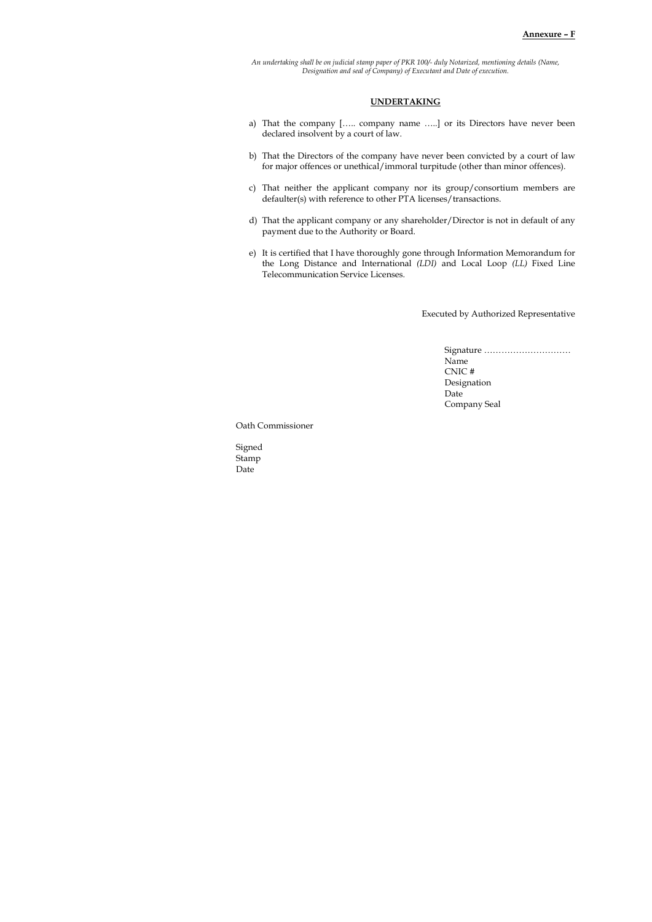*An undertaking shall be on judicial stamp paper of PKR 100/- duly Notarized, mentioning details (Name, Designation and seal of Company) of Executant and Date of execution.*

#### **UNDERTAKING**

- a) That the company [….. company name …..] or its Directors have never been declared insolvent by a court of law.
- b) That the Directors of the company have never been convicted by a court of law for major offences or unethical/immoral turpitude (other than minor offences).
- c) That neither the applicant company nor its group/consortium members are defaulter(s) with reference to other PTA licenses/transactions.
- d) That the applicant company or any shareholder/Director is not in default of any payment due to the Authority or Board.
- e) It is certified that I have thoroughly gone through Information Memorandum for the Long Distance and International *(LDI)* and Local Loop *(LL)* Fixed Line Telecommunication Service Licenses.

Executed by Authorized Representative

Signature ………………………… Name CNIC # Designation Date Company Seal

Oath Commissioner

Signed Stamp Date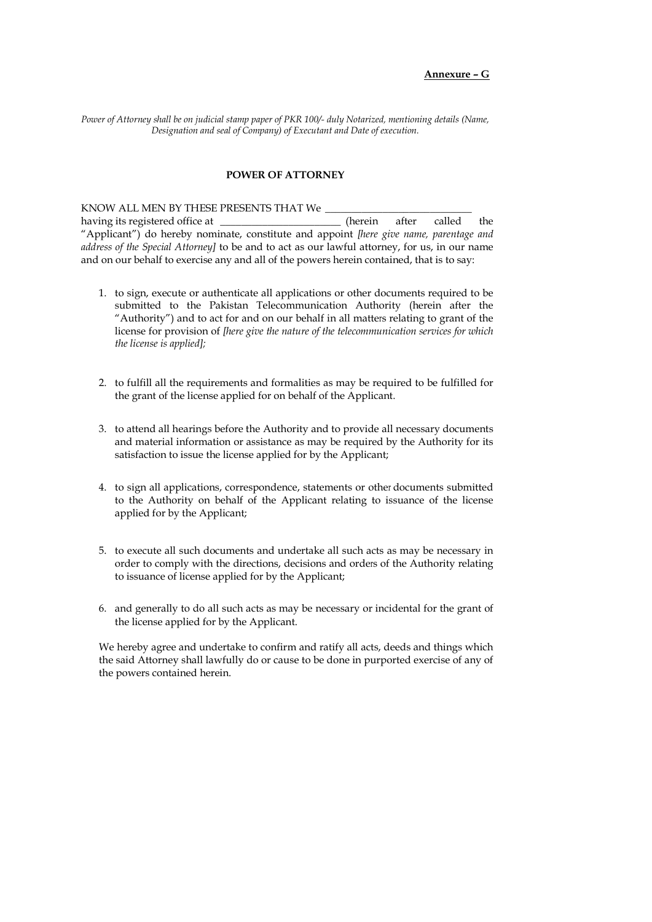#### **Annexure – G**

*Power of Attorney shall be on judicial stamp paper of PKR 100/- duly Notarized, mentioning details (Name, Designation and seal of Company) of Executant and Date of execution.*

#### **POWER OF ATTORNEY**

KNOW ALL MEN BY THESE PRESENTS THAT We  $\_$ 

having its registered office at  $\qquad \qquad$  (herein after called the "Applicant") do hereby nominate, constitute and appoint *[here give name, parentage and address of the Special Attorney]* to be and to act as our lawful attorney, for us, in our name and on our behalf to exercise any and all of the powers herein contained, that is to say:

- 1. to sign, execute or authenticate all applications or other documents required to be submitted to the Pakistan Telecommunication Authority (herein after the "Authority") and to act for and on our behalf in all matters relating to grant of the license for provision of *[here give the nature of the telecommunication services for which the license is applied];*
- 2. to fulfill all the requirements and formalities as may be required to be fulfilled for the grant of the license applied for on behalf of the Applicant.
- 3. to attend all hearings before the Authority and to provide all necessary documents and material information or assistance as may be required by the Authority for its satisfaction to issue the license applied for by the Applicant;
- 4. to sign all applications, correspondence, statements or other documents submitted to the Authority on behalf of the Applicant relating to issuance of the license applied for by the Applicant;
- 5. to execute all such documents and undertake all such acts as may be necessary in order to comply with the directions, decisions and orders of the Authority relating to issuance of license applied for by the Applicant;
- 6. and generally to do all such acts as may be necessary or incidental for the grant of the license applied for by the Applicant.

We hereby agree and undertake to confirm and ratify all acts, deeds and things which the said Attorney shall lawfully do or cause to be done in purported exercise of any of the powers contained herein.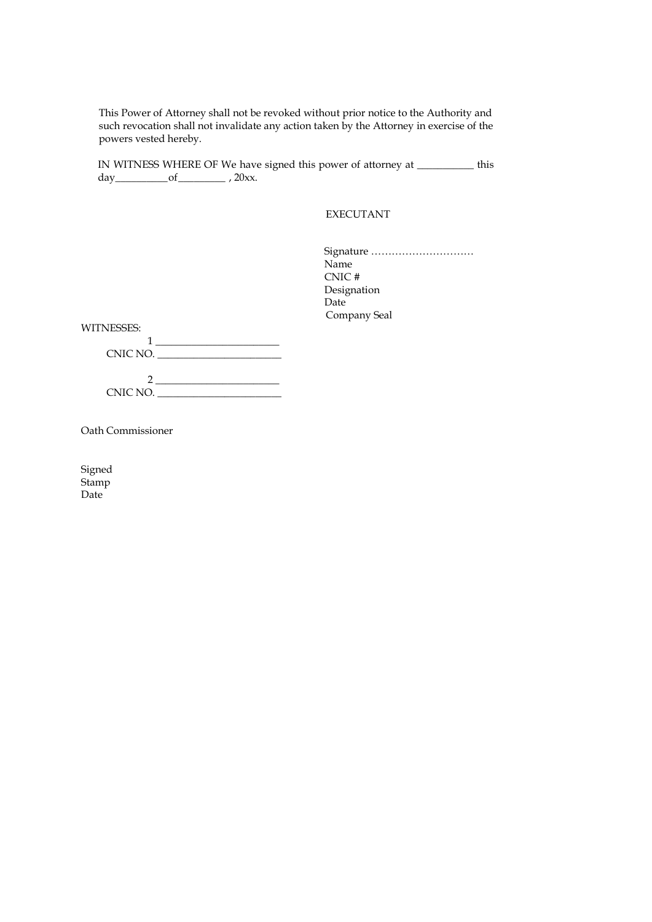This Power of Attorney shall not be revoked without prior notice to the Authority and such revocation shall not invalidate any action taken by the Attorney in exercise of the powers vested hereby.

IN WITNESS WHERE OF We have signed this power of attorney at \_\_\_\_\_\_\_\_\_\_\_ this day\_\_\_\_\_\_\_\_\_\_of\_\_\_\_\_\_\_\_\_ , 20xx.

EXECUTANT

Signature ………………………… Name CNIC # Designation Date Company Seal

WITNESSES:

| CNIC NO. |  |
|----------|--|
|          |  |
|          |  |
| CNIC NO. |  |

Oath Commissioner

Signed Stamp Date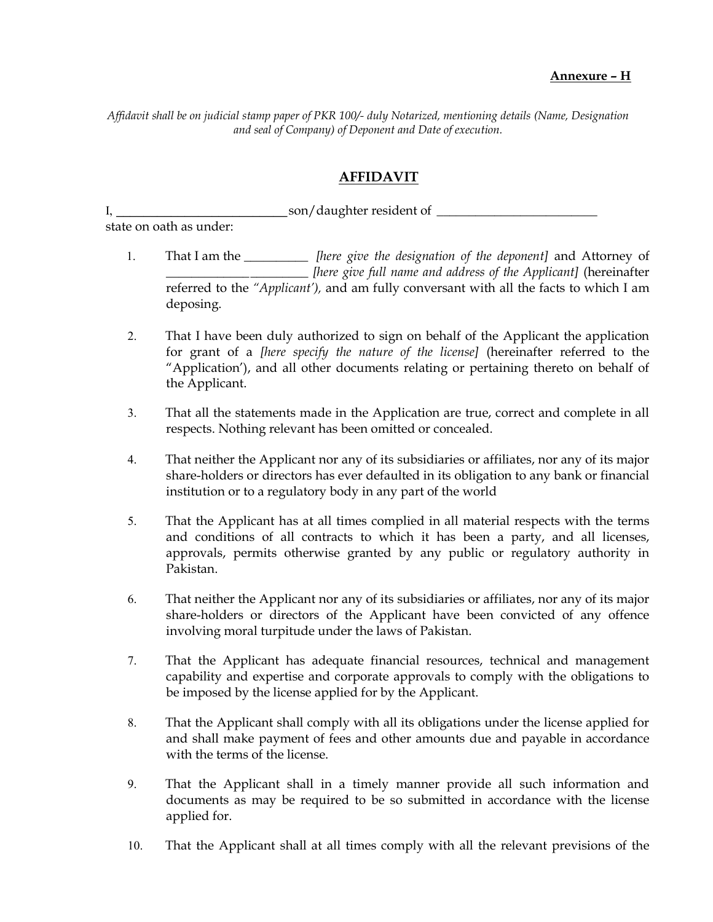Affidavit shall be on judicial stamp paper of PKR 100/- duly Notarized, mentioning details (Name, Designation and seal of Company) of Deponent and Date of execution.

## AFFIDAVIT

I, end and son/daughter resident of  $\sim$ state on oath as under:

- 1. That I am the \_\_\_\_\_\_\_\_\_\_\_\_ [here give the designation of the deponent] and Attorney of \_\_\_\_\_\_\_\_\_\_\_\_\_ \_\_\_\_\_\_\_\_\_ [here give full name and address of the Applicant] (hereinafter referred to the "Applicant'), and am fully conversant with all the facts to which I am deposing.
- 2. That I have been duly authorized to sign on behalf of the Applicant the application for grant of a [here specify the nature of the license] (hereinafter referred to the "Application'), and all other documents relating or pertaining thereto on behalf of the Applicant.
- 3. That all the statements made in the Application are true, correct and complete in all respects. Nothing relevant has been omitted or concealed.
- 4. That neither the Applicant nor any of its subsidiaries or affiliates, nor any of its major share-holders or directors has ever defaulted in its obligation to any bank or financial institution or to a regulatory body in any part of the world
- 5. That the Applicant has at all times complied in all material respects with the terms and conditions of all contracts to which it has been a party, and all licenses, approvals, permits otherwise granted by any public or regulatory authority in Pakistan.
- 6. That neither the Applicant nor any of its subsidiaries or affiliates, nor any of its major share-holders or directors of the Applicant have been convicted of any offence involving moral turpitude under the laws of Pakistan.
- 7. That the Applicant has adequate financial resources, technical and management capability and expertise and corporate approvals to comply with the obligations to be imposed by the license applied for by the Applicant.
- 8. That the Applicant shall comply with all its obligations under the license applied for and shall make payment of fees and other amounts due and payable in accordance with the terms of the license.
- 9. That the Applicant shall in a timely manner provide all such information and documents as may be required to be so submitted in accordance with the license applied for.
- 10. That the Applicant shall at all times comply with all the relevant previsions of the